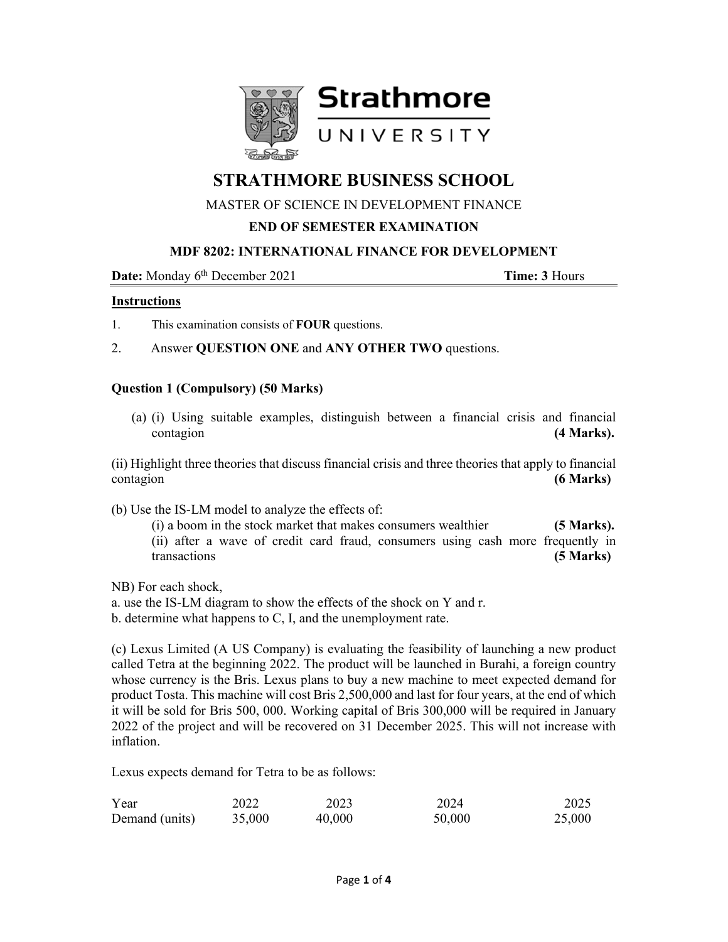

# **STRATHMORE BUSINESS SCHOOL**

# MASTER OF SCIENCE IN DEVELOPMENT FINANCE

# **END OF SEMESTER EXAMINATION**

## **MDF 8202: INTERNATIONAL FINANCE FOR DEVELOPMENT**

**Date:** Monday 6<sup>th</sup> December 2021 **Time: 3** Hours

#### **Instructions**

- 1. This examination consists of **FOUR** questions.
- 2. Answer **QUESTION ONE** and **ANY OTHER TWO** questions.

## **Question 1 (Compulsory) (50 Marks)**

(a) (i) Using suitable examples, distinguish between a financial crisis and financial contagion **(4 Marks). (4 Marks)** 

(ii) Highlight three theories that discuss financial crisis and three theories that apply to financial contagion **(6 Marks)**

(b) Use the IS-LM model to analyze the effects of:

(i) a boom in the stock market that makes consumers wealthier **(5 Marks).**  (ii) after a wave of credit card fraud, consumers using cash more frequently in transactions **(5 Marks)**

NB) For each shock,

a. use the IS-LM diagram to show the effects of the shock on Y and r.

b. determine what happens to C, I, and the unemployment rate.

(c) Lexus Limited (A US Company) is evaluating the feasibility of launching a new product called Tetra at the beginning 2022. The product will be launched in Burahi, a foreign country whose currency is the Bris. Lexus plans to buy a new machine to meet expected demand for product Tosta. This machine will cost Bris 2,500,000 and last for four years, at the end of which it will be sold for Bris 500, 000. Working capital of Bris 300,000 will be required in January 2022 of the project and will be recovered on 31 December 2025. This will not increase with inflation.

Lexus expects demand for Tetra to be as follows:

| Year           | 2022   | 2023   | 2024   | 2025   |
|----------------|--------|--------|--------|--------|
| Demand (units) | 35,000 | 40,000 | 50,000 | 25,000 |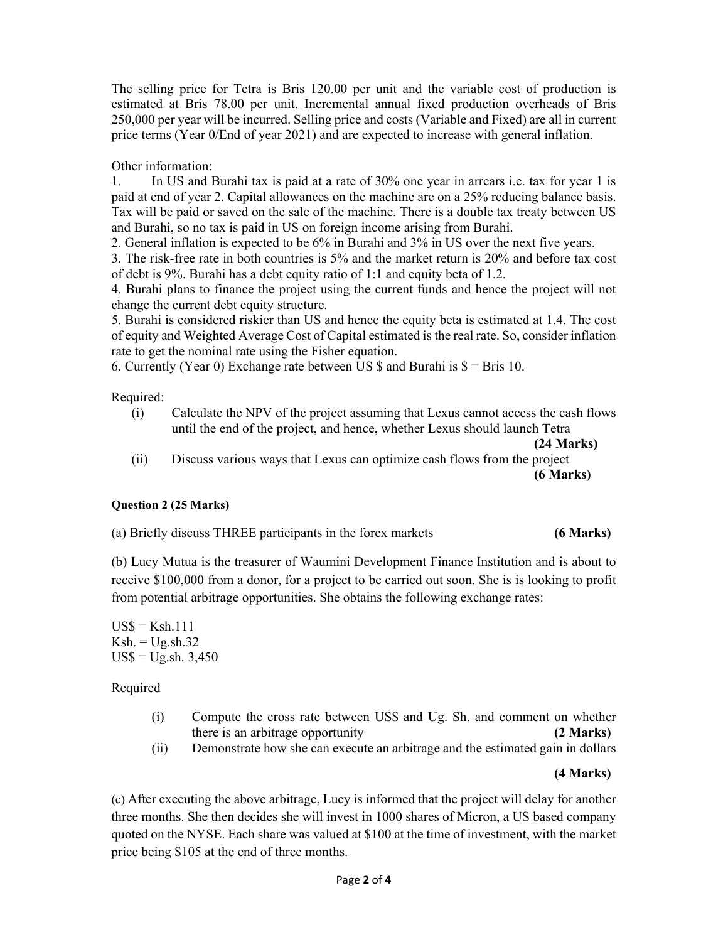The selling price for Tetra is Bris 120.00 per unit and the variable cost of production is estimated at Bris 78.00 per unit. Incremental annual fixed production overheads of Bris 250,000 per year will be incurred. Selling price and costs (Variable and Fixed) are all in current price terms (Year 0/End of year 2021) and are expected to increase with general inflation.

Other information:

1. In US and Burahi tax is paid at a rate of 30% one year in arrears i.e. tax for year 1 is paid at end of year 2. Capital allowances on the machine are on a 25% reducing balance basis. Tax will be paid or saved on the sale of the machine. There is a double tax treaty between US and Burahi, so no tax is paid in US on foreign income arising from Burahi.

2. General inflation is expected to be 6% in Burahi and 3% in US over the next five years.

3. The risk-free rate in both countries is 5% and the market return is 20% and before tax cost of debt is 9%. Burahi has a debt equity ratio of 1:1 and equity beta of 1.2.

4. Burahi plans to finance the project using the current funds and hence the project will not change the current debt equity structure.

5. Burahi is considered riskier than US and hence the equity beta is estimated at 1.4. The cost of equity and Weighted Average Cost of Capital estimated is the real rate. So, consider inflation rate to get the nominal rate using the Fisher equation.

6. Currently (Year 0) Exchange rate between US  $\$  and Burahi is  $\$  = Bris 10.

Required:

(i) Calculate the NPV of the project assuming that Lexus cannot access the cash flows until the end of the project, and hence, whether Lexus should launch Tetra

**(24 Marks)** 

(ii) Discuss various ways that Lexus can optimize cash flows from the project **(6 Marks)**

# **Question 2 (25 Marks)**

(a) Briefly discuss THREE participants in the forex markets **(6 Marks)**

(b) Lucy Mutua is the treasurer of Waumini Development Finance Institution and is about to receive \$100,000 from a donor, for a project to be carried out soon. She is is looking to profit from potential arbitrage opportunities. She obtains the following exchange rates:

 $USS = Ksh.111$  $Ksh. = Ug.sh.32$  $US\$  = Ug.sh. 3,450

Required

- (i) Compute the cross rate between US\$ and Ug. Sh. and comment on whether there is an arbitrage opportunity **(2 Marks)**
- (ii) Demonstrate how she can execute an arbitrage and the estimated gain in dollars

#### **(4 Marks)**

(c) After executing the above arbitrage, Lucy is informed that the project will delay for another three months. She then decides she will invest in 1000 shares of Micron, a US based company quoted on the NYSE. Each share was valued at \$100 at the time of investment, with the market price being \$105 at the end of three months.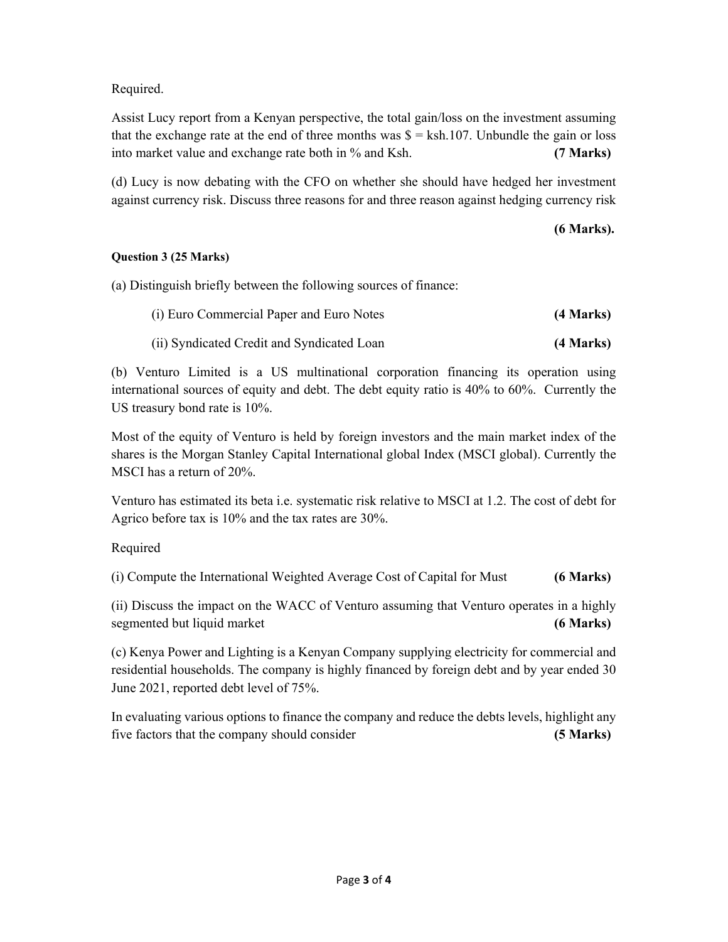# Required.

Assist Lucy report from a Kenyan perspective, the total gain/loss on the investment assuming that the exchange rate at the end of three months was  $\hat{s} =$  ksh.107. Unbundle the gain or loss into market value and exchange rate both in % and Ksh. **(7 Marks)**

(d) Lucy is now debating with the CFO on whether she should have hedged her investment against currency risk. Discuss three reasons for and three reason against hedging currency risk

# **(6 Marks).**

# **Question 3 (25 Marks)**

(a) Distinguish briefly between the following sources of finance:

| (i) Euro Commercial Paper and Euro Notes   | (4 Marks) |
|--------------------------------------------|-----------|
| (ii) Syndicated Credit and Syndicated Loan | (4 Marks) |

(b) Venturo Limited is a US multinational corporation financing its operation using international sources of equity and debt. The debt equity ratio is 40% to 60%. Currently the US treasury bond rate is 10%.

Most of the equity of Venturo is held by foreign investors and the main market index of the shares is the Morgan Stanley Capital International global Index (MSCI global). Currently the MSCI has a return of 20%.

Venturo has estimated its beta i.e. systematic risk relative to MSCI at 1.2. The cost of debt for Agrico before tax is 10% and the tax rates are 30%.

Required

(i) Compute the International Weighted Average Cost of Capital for Must **(6 Marks)**

(ii) Discuss the impact on the WACC of Venturo assuming that Venturo operates in a highly segmented but liquid market **(6 Marks) (6 Marks)** 

(c) Kenya Power and Lighting is a Kenyan Company supplying electricity for commercial and residential households. The company is highly financed by foreign debt and by year ended 30 June 2021, reported debt level of 75%.

In evaluating various options to finance the company and reduce the debts levels, highlight any five factors that the company should consider **(5 Marks)**